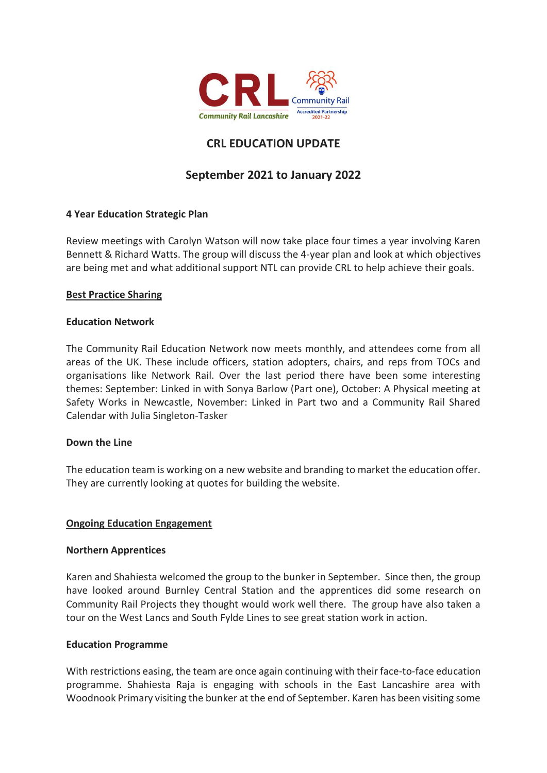

# **CRL EDUCATION UPDATE**

## **September 2021 to January 2022**

## **4 Year Education Strategic Plan**

Review meetings with Carolyn Watson will now take place four times a year involving Karen Bennett & Richard Watts. The group will discuss the 4-year plan and look at which objectives are being met and what additional support NTL can provide CRL to help achieve their goals.

#### **Best Practice Sharing**

#### **Education Network**

The Community Rail Education Network now meets monthly, and attendees come from all areas of the UK. These include officers, station adopters, chairs, and reps from TOCs and organisations like Network Rail. Over the last period there have been some interesting themes: September: Linked in with Sonya Barlow (Part one), October: A Physical meeting at Safety Works in Newcastle, November: Linked in Part two and a Community Rail Shared Calendar with Julia Singleton-Tasker

#### **Down the Line**

The education team is working on a new website and branding to market the education offer. They are currently looking at quotes for building the website.

#### **Ongoing Education Engagement**

#### **Northern Apprentices**

Karen and Shahiesta welcomed the group to the bunker in September. Since then, the group have looked around Burnley Central Station and the apprentices did some research on Community Rail Projects they thought would work well there. The group have also taken a tour on the West Lancs and South Fylde Lines to see great station work in action.

#### **Education Programme**

With restrictions easing, the team are once again continuing with their face-to-face education programme. Shahiesta Raja is engaging with schools in the East Lancashire area with Woodnook Primary visiting the bunker at the end of September. Karen has been visiting some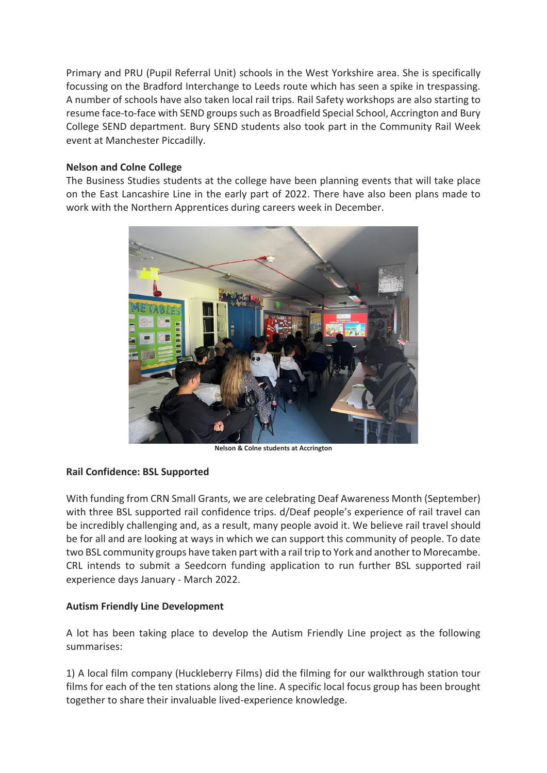Primary and PRU (Pupil Referral Unit) schools in the West Yorkshire area. She is specifically focussing on the Bradford Interchange to Leeds route which has seen a spike in trespassing. A number of schools have also taken local rail trips. Rail Safety workshops are also starting to resume face-to-face with SEND groups such as Broadfield Special School, Accrington and Bury College SEND department. Bury SEND students also took part in the Community Rail Week event at Manchester Piccadilly.

## **Nelson and Colne College**

The Business Studies students at the college have been planning events that will take place on the East Lancashire Line in the early part of 2022. There have also been plans made to work with the Northern Apprentices during careers week in December.



**Nelson & Colne students at Accrington**

#### **Rail Confidence: BSL Supported**

With funding from CRN Small Grants, we are celebrating Deaf Awareness Month (September) with three BSL supported rail confidence trips. d/Deaf people's experience of rail travel can be incredibly challenging and, as a result, many people avoid it. We believe rail travel should be for all and are looking at ways in which we can support this community of people. To date two BSL community groups have taken part with a rail trip to York and another to Morecambe. CRL intends to submit a Seedcorn funding application to run further BSL supported rail experience days January - March 2022.

## **Autism Friendly Line Development**

A lot has been taking place to develop the Autism Friendly Line project as the following summarises:

1) A local film company (Huckleberry Films) did the filming for our walkthrough station tour films for each of the ten stations along the line. A specific local focus group has been brought together to share their invaluable lived-experience knowledge.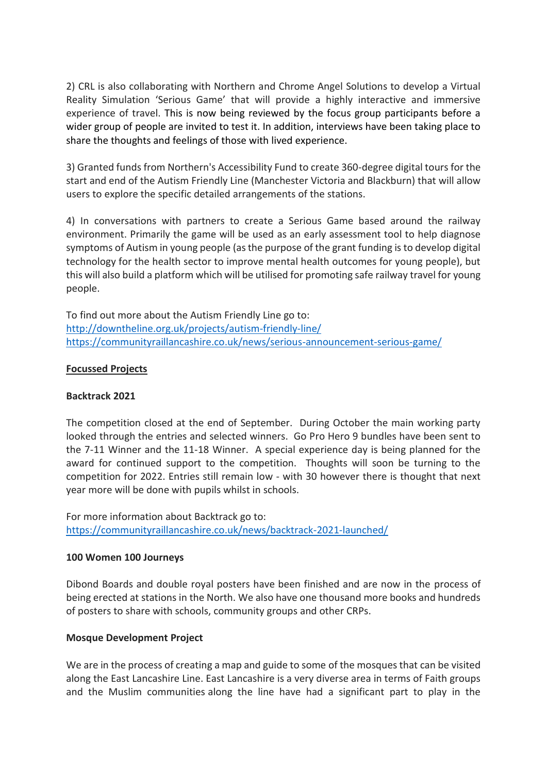2) CRL is also collaborating with Northern and Chrome Angel Solutions to develop a Virtual Reality Simulation 'Serious Game' that will provide a highly interactive and immersive experience of travel. This is now being reviewed by the focus group participants before a wider group of people are invited to test it. In addition, interviews have been taking place to share the thoughts and feelings of those with lived experience.

3) Granted funds from Northern's Accessibility Fund to create 360-degree digital tours for the start and end of the Autism Friendly Line (Manchester Victoria and Blackburn) that will allow users to explore the specific detailed arrangements of the stations.

4) In conversations with partners to create a Serious Game based around the railway environment. Primarily the game will be used as an early assessment tool to help diagnose symptoms of Autism in young people (as the purpose of the grant funding is to develop digital technology for the health sector to improve mental health outcomes for young people), but this will also build a platform which will be utilised for promoting safe railway travel for young people.

To find out more about the Autism Friendly Line go to: <http://downtheline.org.uk/projects/autism-friendly-line/> <https://communityraillancashire.co.uk/news/serious-announcement-serious-game/>

## **Focussed Projects**

#### **Backtrack 2021**

The competition closed at the end of September. During October the main working party looked through the entries and selected winners. Go Pro Hero 9 bundles have been sent to the 7-11 Winner and the 11-18 Winner. A special experience day is being planned for the award for continued support to the competition. Thoughts will soon be turning to the competition for 2022. Entries still remain low - with 30 however there is thought that next year more will be done with pupils whilst in schools.

For more information about Backtrack go to: <https://communityraillancashire.co.uk/news/backtrack-2021-launched/>

#### **100 Women 100 Journeys**

Dibond Boards and double royal posters have been finished and are now in the process of being erected at stations in the North. We also have one thousand more books and hundreds of posters to share with schools, community groups and other CRPs.

#### **Mosque Development Project**

We are in the process of creating a map and guide to some of the mosques that can be visited along the East Lancashire Line. East Lancashire is a very diverse area in terms of Faith groups and the Muslim communities along the line have had a significant part to play in the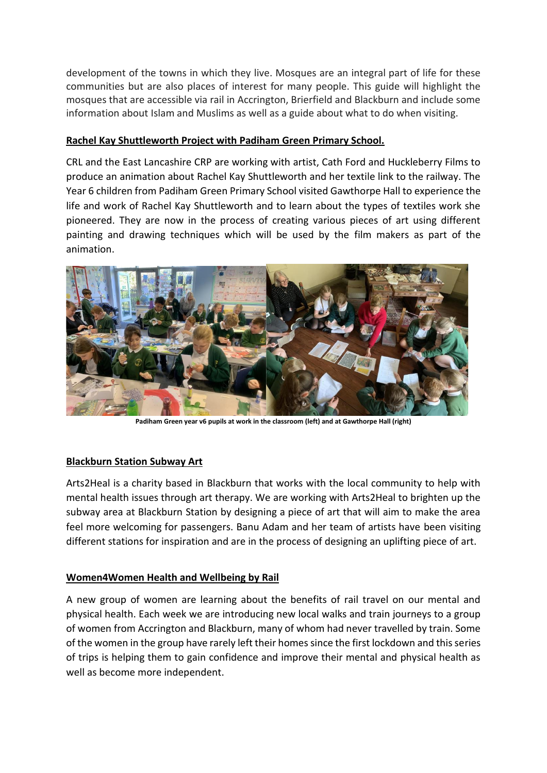development of the towns in which they live. Mosques are an integral part of life for these communities but are also places of interest for many people. This guide will highlight the mosques that are accessible via rail in Accrington, Brierfield and Blackburn and include some information about Islam and Muslims as well as a guide about what to do when visiting.

## **Rachel Kay Shuttleworth Project with Padiham Green Primary School.**

CRL and the East Lancashire CRP are working with artist, Cath Ford and Huckleberry Films to produce an animation about Rachel Kay Shuttleworth and her textile link to the railway. The Year 6 children from Padiham Green Primary School visited Gawthorpe Hall to experience the life and work of Rachel Kay Shuttleworth and to learn about the types of textiles work she pioneered. They are now in the process of creating various pieces of art using different painting and drawing techniques which will be used by the film makers as part of the animation.



**Padiham Green year v6 pupils at work in the classroom (left) and at Gawthorpe Hall (right)**

## **Blackburn Station Subway Art**

Arts2Heal is a charity based in Blackburn that works with the local community to help with mental health issues through art therapy. We are working with Arts2Heal to brighten up the subway area at Blackburn Station by designing a piece of art that will aim to make the area feel more welcoming for passengers. Banu Adam and her team of artists have been visiting different stations for inspiration and are in the process of designing an uplifting piece of art.

## **Women4Women Health and Wellbeing by Rail**

A new group of women are learning about the benefits of rail travel on our mental and physical health. Each week we are introducing new local walks and train journeys to a group of women from Accrington and Blackburn, many of whom had never travelled by train. Some of the women in the group have rarely left their homes since the first lockdown and this series of trips is helping them to gain confidence and improve their mental and physical health as well as become more independent.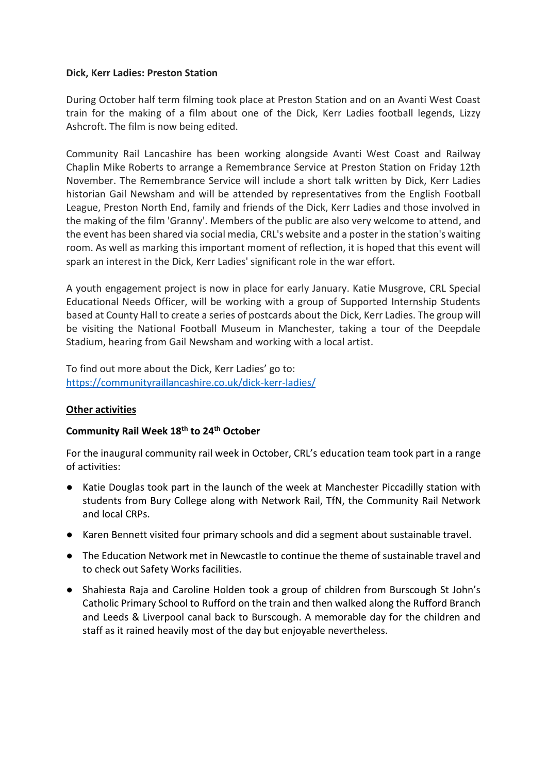### **Dick, Kerr Ladies: Preston Station**

During October half term filming took place at Preston Station and on an Avanti West Coast train for the making of a film about one of the Dick, Kerr Ladies football legends, Lizzy Ashcroft. The film is now being edited.

Community Rail Lancashire has been working alongside Avanti West Coast and Railway Chaplin Mike Roberts to arrange a Remembrance Service at Preston Station on Friday 12th November. The Remembrance Service will include a short talk written by Dick, Kerr Ladies historian Gail Newsham and will be attended by representatives from the English Football League, Preston North End, family and friends of the Dick, Kerr Ladies and those involved in the making of the film 'Granny'. Members of the public are also very welcome to attend, and the event has been shared via social media, CRL's website and a poster in the station's waiting room. As well as marking this important moment of reflection, it is hoped that this event will spark an interest in the Dick, Kerr Ladies' significant role in the war effort.

A youth engagement project is now in place for early January. Katie Musgrove, CRL Special Educational Needs Officer, will be working with a group of Supported Internship Students based at County Hall to create a series of postcards about the Dick, Kerr Ladies. The group will be visiting the National Football Museum in Manchester, taking a tour of the Deepdale Stadium, hearing from Gail Newsham and working with a local artist.

To find out more about the Dick, Kerr Ladies' go to: <https://communityraillancashire.co.uk/dick-kerr-ladies/>

## **Other activities**

## **Community Rail Week 18th to 24th October**

For the inaugural community rail week in October, CRL's education team took part in a range of activities:

- Katie Douglas took part in the launch of the week at Manchester Piccadilly station with students from Bury College along with Network Rail, TfN, the Community Rail Network and local CRPs.
- Karen Bennett visited four primary schools and did a segment about sustainable travel.
- The Education Network met in Newcastle to continue the theme of sustainable travel and to check out Safety Works facilities.
- Shahiesta Raja and Caroline Holden took a group of children from Burscough St John's Catholic Primary School to Rufford on the train and then walked along the Rufford Branch and Leeds & Liverpool canal back to Burscough. A memorable day for the children and staff as it rained heavily most of the day but enjoyable nevertheless.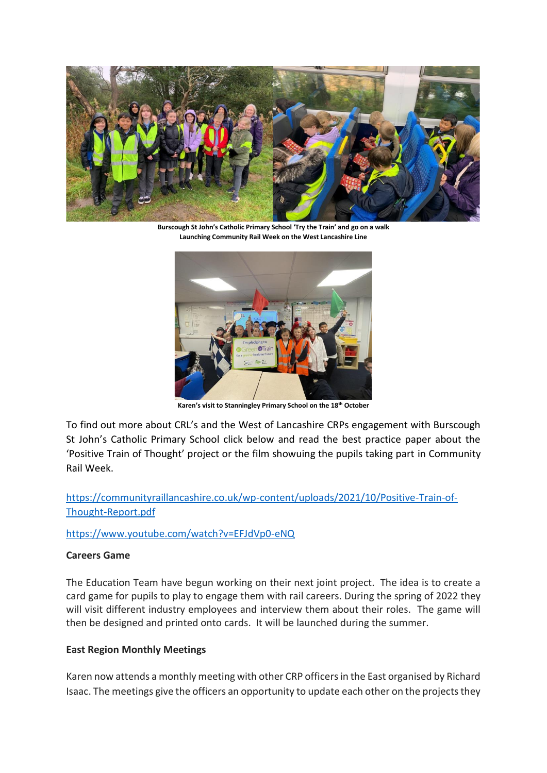

**Burscough St John's Catholic Primary School 'Try the Train' and go on a walk Launching Community Rail Week on the West Lancashire Line** 



**Karen's visit to Stanningley Primary School on the 18th October**

To find out more about CRL's and the West of Lancashire CRPs engagement with Burscough St John's Catholic Primary School click below and read the best practice paper about the 'Positive Train of Thought' project or the film showuing the pupils taking part in Community Rail Week.

[https://communityraillancashire.co.uk/wp-content/uploads/2021/10/Positive-Train-of-](https://communityraillancashire.co.uk/wp-content/uploads/2021/10/Positive-Train-of-Thought-Report.pdf)[Thought-Report.pdf](https://communityraillancashire.co.uk/wp-content/uploads/2021/10/Positive-Train-of-Thought-Report.pdf)

<https://www.youtube.com/watch?v=EFJdVp0-eNQ>

## **Careers Game**

The Education Team have begun working on their next joint project. The idea is to create a card game for pupils to play to engage them with rail careers. During the spring of 2022 they will visit different industry employees and interview them about their roles. The game will then be designed and printed onto cards. It will be launched during the summer.

## **East Region Monthly Meetings**

Karen now attends a monthly meeting with other CRP officers in the East organised by Richard Isaac. The meetings give the officers an opportunity to update each other on the projects they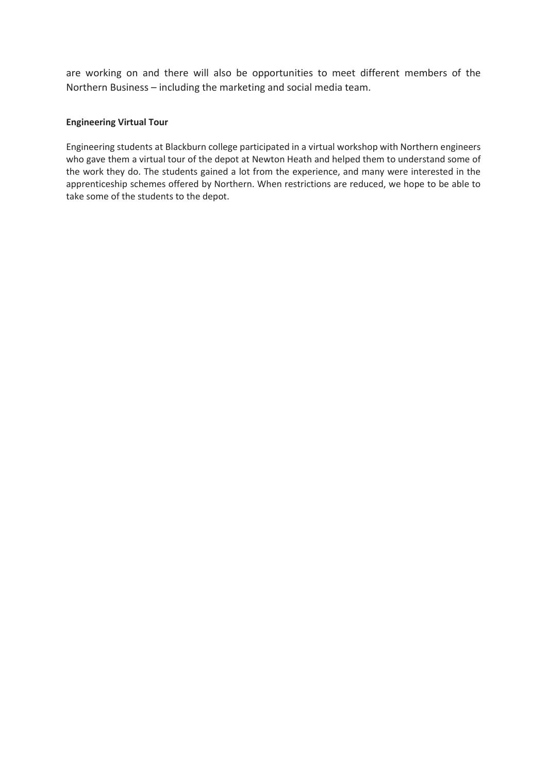are working on and there will also be opportunities to meet different members of the Northern Business – including the marketing and social media team.

#### **Engineering Virtual Tour**

Engineering students at Blackburn college participated in a virtual workshop with Northern engineers who gave them a virtual tour of the depot at Newton Heath and helped them to understand some of the work they do. The students gained a lot from the experience, and many were interested in the apprenticeship schemes offered by Northern. When restrictions are reduced, we hope to be able to take some of the students to the depot.